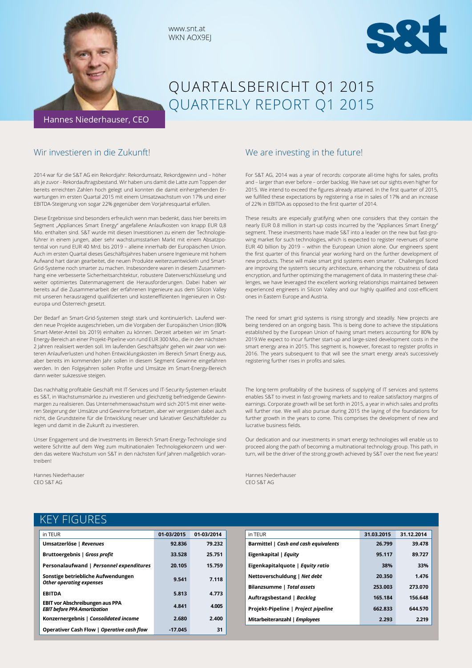

# QUARTALSBERICHT Q1 2015 QUARTERLY REPORT Q1 2015

## Wir investieren in die Zukunft!

2014 war für die S&T AG ein Rekordjahr: Rekordumsatz, Rekordgewinn und – höher als je zuvor - Rekordauftragsbestand. Wir haben uns damit die Latte zum Toppen der bereits erreichten Zahlen hoch gelegt und konnten die damit einhergehenden Erwartungen im ersten Quartal 2015 mit einem Umsatzwachstum von 17% und einer EBITDA-Steigerung von sogar 22% gegenüber dem Vorjahresquartal erfüllen.

www.snt.at WKN AOX9EJ

Diese Ergebnisse sind besonders erfreulich wenn man bedenkt, dass hier bereits im Segment "Appliances Smart Energy" angefallene Anlaufkosten von knapp EUR 0,8 Mio. enthalten sind. S&T wurde mit diesen Investitionen zu einem der Technologieführer in einem jungen, aber sehr wachstumsstarken Markt mit einem Absatzpotential von rund EUR 40 Mrd. bis 2019 – alleine innerhalb der Europäischen Union. Auch im ersten Quartal dieses Geschäftsjahres haben unsere Ingenieure mit hohem Aufwand hart daran gearbeitet, die neuen Produkte weiterzuentwickeln und Smart-Grid-Systeme noch smarter zu machen. Insbesondere waren in diesem Zusammenhang eine verbesserte Sicherheitsarchitektur, robustere Datenverschlüsselung und weiter optimiertes Datenmanagement die Herausforderungen. Dabei haben wir bereits auf die Zusammenarbeit der erfahrenen Ingenieure aus dem Silicon Valley mit unseren herausragend qualifizierten und kosteneffizienten Ingenieuren in Osteuropa und Österreich gesetzt.

Der Bedarf an Smart-Grid-Systemen steigt stark und kontinuierlich. Laufend werden neue Projekte ausgeschrieben, um die Vorgaben der Europäischen Union (80% Smart-Meter-Anteil bis 2019) einhalten zu können. Derzeit arbeiten wir im Smart-Energy-Bereich an einer Projekt-Pipeline von rund EUR 300 Mio., die in den nächsten 2 Jahren realisiert werden soll. Im laufenden Geschäftsjahr gehen wir zwar von weiteren Anlaufverlusten und hohen Entwicklungskosten im Bereich Smart Energy aus, aber bereits im kommenden Jahr sollen in diesem Segment Gewinne eingefahren werden. In den Folgejahren sollen Profite und Umsätze im Smart-Energy-Bereich dann weiter sukzessive steigen.

Das nachhaltig profitable Geschäft mit IT-Services und IT-Security-Systemen erlaubt es S&T, in Wachstumsmärkte zu investieren und gleichzeitig befriedigende Gewinnmargen zu realisieren. Das Unternehmenswachstum wird sich 2015 mit einer weiteren Steigerung der Umsätze und Gewinne fortsetzen, aber wir vergessen dabei auch nicht, die Grundsteine für die Entwicklung neuer und lukrativer Geschäftsfelder zu legen und damit in die Zukunft zu investieren.

Unser Engagement und die Investments im Bereich Smart-Energy-Technologie sind weitere Schritte auf dem Weg zum multinationalen Technologiekonzern und werden das weitere Wachstum von S&T in den nächsten fünf Jahren maßgeblich vorantreiben!

Hannes Niederhauser CEO S&T AG

## We are investing in the future!

For S&T AG, 2014 was a year of records: corporate all-time highs for sales, profits and – larger than ever before – order backlog. We have set our sights even higher for 2015. We intend to exceed the figures already attained. In the first quarter of 2015, we fulfilled these expectations by registering a rise in sales of 17% and an increase of 22% in EBITDA as opposed to the first quarter of 2014.

These results are especially gratifying when one considers that they contain the nearly EUR 0.8 million in start-up costs incurred by the "Appliances Smart Energy" segment. These investments have made S&T into a leader on the new but fast-growing market for such technologies, which is expected to register revenues of some EUR 40 billion by 2019 – within the European Union alone. Our engineers spent the first quarter of this financial year working hard on the further development of new products. These will make smart grid systems even smarter. Challenges faced are improving the system's security architecture, enhancing the robustness of data encryption, and further optimizing the management of data. In mastering these challenges, we have leveraged the excellent working relationships maintained between experienced engineers in Silicon Valley and our highly qualified and cost-efficient ones in Eastern Europe and Austria.

The need for smart grid systems is rising strongly and steadily. New projects are being tendered on an ongoing basis. This is being done to achieve the stipulations established by the European Union of having smart meters accounting for 80% by 2019.We expect to incur further start-up and large-sized development costs in the smart energy area in 2015. This segment is, however, forecast to register profits in 2016. The years subsequent to that will see the smart energy area's successively registering further rises in profits and sales.

The long-term profitability of the business of supplying of IT services and systems enables S&T to invest in fast-growing markets and to realize satisfactory margins of earnings. Corporate growth will be set forth in 2015, a year in which sales and profits will further rise. We will also pursue during 2015 the laying of the foundations for further growth in the years to come. This comprises the development of new and lucrative business fields.

Our dedication and our investments in smart energy technologies will enable us to proceed along the path of becoming a multinational technology group. This path, in turn, will be the driver of the strong growth achieved by S&T over the next five years!

Hannes Niederhauser CEO S&T AG

# KEY FIGURES

| in TEUR                                                                       | 01-03/2015 | 01-03/2014 |
|-------------------------------------------------------------------------------|------------|------------|
| Umsatzerlöse   Revenues                                                       | 92.836     | 79.232     |
| Bruttoergebnis   Gross profit                                                 | 33.528     | 25.751     |
| Personalaufwand   Personnel expenditures                                      | 20.105     | 15.759     |
| Sonstige betriebliche Aufwendungen<br><b>Other operating expenses</b>         | 9.541      | 7.118      |
| <b>FBITDA</b>                                                                 | 5.813      | 4.773      |
| <b>EBIT vor Abschreibungen aus PPA</b><br><b>EBIT before PPA Amortization</b> | 4.841      | 4.005      |
| Konzernergebnis   Consolidated income                                         | 2.680      | 2.400      |
| Operativer Cash Flow   Operative cash flow                                    | $-17.045$  | 31         |

| in TEUR                               | 31.03.2015 | 31.12.2014 |
|---------------------------------------|------------|------------|
| Barmittel   Cash and cash equivalents | 26.799     | 39.478     |
| Eigenkapital   Equity                 | 95.117     | 89.727     |
| Eigenkapitalquote   Equity ratio      | 38%        | 33%        |
| Nettoverschuldung   Net debt          | 20.350     | 1.476      |
| Bilanzsumme   Total assets            | 253.003    | 273.070    |
| Auftragsbestand   Backlog             | 165.184    | 156.648    |
| Projekt-Pipeline   Project pipeline   | 662.833    | 644.570    |
| Mitarbeiteranzahl   Employees         | 2.293      | 2.219      |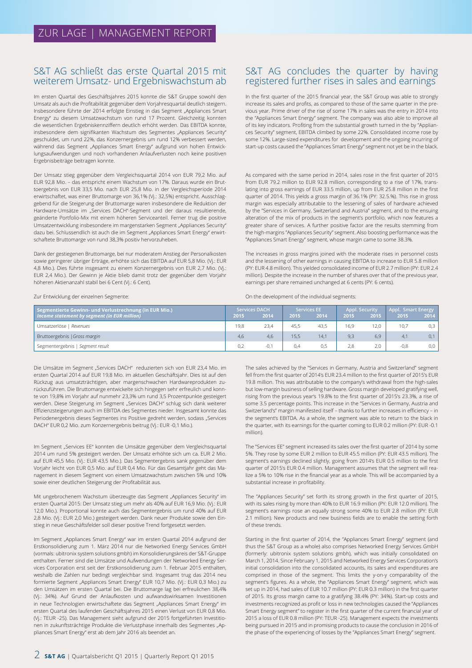### S&T AG schließt das erste Quartal 2015 mit weiterem Umsatz- und Ergebniswachstum ab

Im ersten Quartal des Geschäftsjahres 2015 konnte die S&T Gruppe sowohl den Umsatz als auch die Profitabilität gegenüber dem Vorjahresquartal deutlich steigern. Insbesondere führte der 2014 erfolgte Einstieg in das Segment "Appliances Smart Energy" zu diesem Umsatzwachstum von rund 17 Prozent. Gleichzeitig konnten die wesentlichen Ergebniskennziffern deutlich erhöht werden. Das EBITDA konnte, insbesondere dem signifikanten Wachstum des Segmentes "Appliances Security" geschuldet, um rund 22%, das Konzernergebnis um rund 12% verbessert werden, während das Segment "Appliances Smart Energy" aufgrund von hohen Entwicklungsaufwendungen und noch vorhandenen Anlaufverlusten noch keine positiven Ergebnisbeiträge beitragen konnte.

Der Umsatz stieg gegenüber dem Vergleichsquartal 2014 von EUR 79,2 Mio. auf EUR 92,8 Mio. – das entspricht einem Wachstum von 17%. Daraus wurde ein Bruttoergebnis von EUR 33,5 Mio. nach EUR 25,8 Mio. in der Vergleichsperiode 2014 erwirtschaftet, was einer Bruttomarge von 36,1% (Vj.: 32,5%) entspricht. Ausschlaggebend für die Steigerung der Bruttomarge waren insbesondere die Reduktion der Hardware-Umsätze im "Services DACH"-Segment und der daraus resultierende, geänderte Portfolio-Mix mit einem höheren Serviceanteil. Ferner trug die positive Umsatzentwicklung insbesondere im margenstarken Segment "Appliances Security" dazu bei. Schlussendlich ist auch die im Segment "Appliances Smart Energy" erwirtschaftete Bruttomarge von rund 38,3% positiv hervorzuheben.

Dank der gestiegenen Bruttomarge, bei nur moderatem Anstieg der Personalkosten sowie geringerer übriger Erträge, erhöhte sich das EBITDA auf EUR 5,8 Mio. (Vj.: EUR 4,8 Mio.). Dies führte insgesamt zu einem Konzernergebnis von EUR 2,7 Mio. (Vj.: EUR 2,4 Mio.). Der Gewinn je Aktie blieb damit trotz der gegenüber dem Vorjahr höheren Aktienanzahl stabil bei 6 Cent (Vj.: 6 Cent).

Zur Entwicklung der einzelnen Segmente:

# S&T AG concludes the quarter by having registered further rises in sales and earnings

In the first quarter of the 2015 financial year, the S&T Group was able to strongly increase its sales and profits, as compared to those of the same quarter in the previous year. Prime driver of the rise of some 17% in sales was the entry in 2014 into the "Appliances Smart Energy" segment. The company was also able to improve all of its key indicators. Profiting from the substantial growth turned in the by "Appliances Security" segment, EBITDA climbed by some 22%. Consolidated income rose by some 12%. Large-sized expenditures for development and the ongoing incurring of start-up costs caused the "Appliances Smart Energy" segment not yet be in the black.

As compared with the same period in 2014, sales rose in the first quarter of 2015 from EUR 79.2 million to EUR 92.8 million, corresponding to a rise of 17%, translating into gross earnings of EUR 33.5 million, up from EUR 25.8 million in the first quarter of 2014. This yields a gross margin of 36.1% (PY: 32.5.%). This rise in gross margin was especially attributable to the lessening of sales of hardware achieved by the "Services in Germany, Switzerland and Austria" segment, and to the ensuing alteration of the mix of products in the segment's portfolio, which now features a greater share of services. A further positive factor are the results stemming from the high-margins "Appliances Security" segment. Also boosting performance was the "Appliances Smart Energy" segment, whose margin came to some 38.3%.

The increases in gross margins joined with the moderate rises in personnel costs and the lessening of other earnings in causing EBITDA to increase to EUR 5.8 million (PY: EUR 4.8 million). This yielded consolidated income of EUR 2.7 million (PY: EUR 2.4 million). Despite the increase in the number of shares over that of the previous year, earnings per share remained unchanged at 6 cents (PY: 6 cents).

On the development of the individual segments:

| Segmentierte Gewinn- und Verlustrechnung (in EUR Mio.) |      | <b>Services DACH</b> |       | <b>Services EE</b> |      | <b>Appl. Security</b> | Appl. Smart Energy |      |
|--------------------------------------------------------|------|----------------------|-------|--------------------|------|-----------------------|--------------------|------|
| Income statement by segment (in EUR million)           | 2015 | 2014                 | 2015' | 2014               | 2015 | 2015                  | 2015               | 2014 |
| Umsatzerlöse   Revenues                                | 19.8 | 23,4                 | 45.5  | 43.5               | 16.9 | 12.0                  | 10.7               | 0,3  |
| Bruttoergebnis   Gross margin                          | 4.6  | 4.6                  | 15.5  | 14.1               | 9.3  | 6.9                   | 4.1                | 0,1  |
| Segmentergebnis   Segment result                       | 0.2  | $-0,1$               | 0.4   | 0,5                | 2.8  | 2.0                   | $-0.8$             | 0,0  |

Die Umsätze im Segment "Services DACH" reduzierten sich von EUR 23,4 Mio. im ersten Quartal 2014 auf EUR 19,8 Mio. im aktuellen Geschäftsjahr. Dies ist auf den Rückzug aus umsatzträchtigen, aber margenschwachen Hardwareprodukten zurückzuführen. Die Bruttomarge entwickelte sich hingegen sehr erfreulich und konnte von 19,8% im Vorjahr auf nunmehr 23,3% um rund 3,5 Prozentpunkte gesteigert werden. Diese Steigerung im Segment "Services DACH" schlug sich dank weiterer Effizienzsteigerungen auch im EBITDA des Segmentes nieder. Insgesamt konnte das Periodenergebnis dieses Segmentes ins Positive gedreht werden, sodass "Services DACH" EUR 0,2 Mio. zum Konzernergebnis beitrug (Vj.: EUR -0,1 Mio.).

Im Segment "Services EE" konnten die Umsätze gegenüber dem Vergleichsquartal 2014 um rund 5% gesteigert werden. Der Umsatz erhöhte sich um ca. EUR 2 Mio. auf EUR 45,5 Mio. (Vj.: EUR 43,5 Mio.). Das Segmentergebnis sank gegenüber dem Vorjahr leicht von EUR 0,5 Mio. auf EUR 0,4 Mio. Für das Gesamtjahr geht das Management in diesem Segment von einem Umsatzwachstum zwischen 5% und 10% sowie einer deutlichen Steigerung der Profitabilität aus.

Mit ungebrochenem Wachstum überzeugte das Segment "Appliances Security" im ersten Quartal 2015: Der Umsatz stieg um mehr als 40% auf EUR 16,9 Mio. (Vj.: EUR 12,0 Mio.). Proportional konnte auch das Segmentergebnis um rund 40% auf EUR 2,8 Mio. (Vj.: EUR 2,0 Mio.) gesteigert werden. Dank neuer Produkte sowie den Einstieg in neue Geschäftsfelder soll dieser positive Trend fortgesetzt werden.

Im Segment "Appliances Smart Energy" war im ersten Quartal 2014 aufgrund der Erstkonsolidierung zum 1. März 2014 nur die Networked Energy Services GmbH (vormals: ubitronix system solutions gmbh) im Konsolidierungskreis der S&T-Gruppe enthalten. Ferner sind die Umsätze und Aufwendungen der Networked Energy Services Corporation erst seit der Erstkonsolidierung zum 1. Februar 2015 enthalten, weshalb die Zahlen nur bedingt vergleichbar sind. Insgesamt trug das 2014 neu formierte Segment "Appliances Smart Energy" EUR 10,7 Mio. (Vj.: EUR 0,3 Mio.) zu den Umsätzen im ersten Quartal bei. Die Bruttomarge lag bei erfreulichen 38,4% (Vj.: 34%). Auf Grund der Anlaufkosten und aufwandswirksamen Investitionen in neue Technologien erwirtschaftete das Segment "Appliances Smart Energy" im ersten Quartal des laufenden Geschäftsjahres 2015 einen Verlust von EUR 0,8 Mio. (Vj.: TEUR -25). Das Management sieht aufgrund der 2015 fortgeführten Investitionen in zukunftsträchtige Produkte die Verlustphase innerhalb des Segmentes "Appliances Smart Energy" erst ab dem Jahr 2016 als beendet an.

The sales achieved by the "Services in Germany, Austria and Switzerland" segment fell from the first quarter of 2014's EUR 23.4 million to the first quarter of 2015's EUR 19.8 million. This was attributable to the company's withdrawal from the high-sales but low-margin business of selling hardware. Gross margin developed gratifying well, rising from the previous year's 19.8% to the first quarter of 2015's 23.3%, a rise of some 3.5 percentage points. This increase in the "Services in Germany, Austria and Switzerland's" margin manifested itself – thanks to further increases in efficiency – in the segment's EBITDA. As a whole, the segment was able to return to the black in the quarter, with its earnings for the quarter coming to EUR 0.2 million (PY: EUR -0.1 million).

The "Services EE" segment increased its sales over the first quarter of 2014 by some 5%. They rose by some EUR 2 million to EUR 45.5 million (PY: EUR 43.5 million). The segment's earnings declined slightly, going from 2014's EUR 0.5 million to the first quarter of 2015's EUR 0.4 million. Management assumes that the segment will realize a 5% to 10% rise in the financial year as a whole. This will be accompanied by a substantial increase in profitability.

The "Appliances Security" set forth its strong growth in the first quarter of 2015, with its sales rising by more than 40% to EUR 16.9 million (PY: EUR 12.0 million). The segment's earnings rose an equally strong some 40% to EUR 2.8 million (PY: EUR 2.1 million). New products and new business fields are to enable the setting forth of these trends.

Starting in the first quarter of 2014, the "Appliances Smart Energy" segment (and thus the S&T Group as a whole) also comprises Networked Energy Services GmbH (formerly: ubitronix system solutions gmbh), which was initially consolidated on March 1, 2014. Since February 1, 2015 and Networked Energy Services Corporation's initial consolidation into the consolidated accounts, its sales and expenditures are comprised in those of the segment. This limits the y-on-y comparability of the segment's figures. As a whole, the "Appliances Smart Energy" segment, which was set up in 2014, had sales of EUR 10.7 million (PY: EUR 0.3 million) in the first quarter of 2015. Its gross margin came to a gratifying 38.4% (PY: 34%). Start-up costs and investments recognized as profit or loss in new technologies caused the "Appliances Smart Energy segment" to register in the first quarter of the current financial year of 2015 a loss of EUR 0.8 million (PY: TEUR -25). Management expects the investments being pursued in 2015 and in promising products to cause the conclusion in 2016 of the phase of the experiencing of losses by the "Appliances Smart Energy" segment.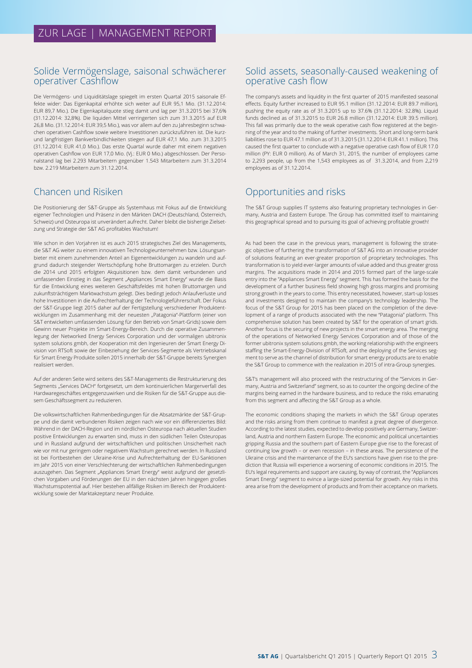### Solide Vermögenslage, saisonal schwächerer operativer Cashflow

Die Vermögens- und Liquiditätslage spiegelt im ersten Quartal 2015 saisonale Effekte wider: Das Eigenkapital erhöhte sich weiter auf EUR 95,1 Mio. (31.12.2014: EUR 89,7 Mio.). Die Eigenkapitalquote stieg damit und lag per 31.3.2015 bei 37,6% (31.12.2014: 32,8%). Die liquiden Mittel verringerten sich zum 31.3.2015 auf EUR 26,8 Mio. (31.12.2014: EUR 39,5 Mio.), was vor allem auf den zu Jahresbeginn schwachen operativen Cashflow sowie weitere Investitionen zurückzuführen ist. Die kurzund langfristigen Bankverbindlichkeiten stiegen auf EUR 47,1 Mio. zum 31.3.2015 (31.12.2014: EUR 41,0 Mio.). Das erste Quartal wurde daher mit einem negativen operativen Cashflow von EUR 17,0 Mio. (Vj.: EUR 0 Mio.) abgeschlossen. Der Personalstand lag bei 2.293 Mitarbeitern gegenüber 1.543 Mitarbeitern zum 31.3.2014 bzw. 2.219 Mitarbeitern zum 31.12.2014.

# Chancen und Risiken

Die Positionierung der S&T-Gruppe als Systemhaus mit Fokus auf die Entwicklung eigener Technologien und Präsenz in den Märkten DACH (Deutschland, Österreich, Schweiz) und Osteuropa ist unverändert aufrecht. Daher bleibt die bisherige Zielsetzung und Strategie der S&T AG profitables Wachstum!

Wie schon in den Vorjahren ist es auch 2015 strategisches Ziel des Managements, die S&T AG weiter zu einem innovativen Technologieunternehmen bzw. Lösungsanbieter mit einem zunehmenden Anteil an Eigenentwicklungen zu wandeln und aufgrund dadurch steigender Wertschöpfung hohe Bruttomargen zu erzielen. Durch die 2014 und 2015 erfolgten Akquisitionen bzw. dem damit verbundenen und umfassenden Einstieg in das Segment "Appliances Smart Energy" wurde die Basis für die Entwicklung eines weiteren Geschäftsfeldes mit hohen Bruttomargen und zukunftsträchtigem Marktwachstum gelegt. Dies bedingt jedoch Anlaufverluste und hohe Investitionen in die Aufrechterhaltung der Technologieführerschaft. Der Fokus der S&T-Gruppe liegt 2015 daher auf der Fertigstellung verschiedener Produktentwicklungen im Zusammenhang mit der neuesten "Patagonia"-Plattform (einer von S&T entwickelten umfassenden Lösung für den Betrieb von Smart-Grids) sowie dem Gewinn neuer Projekte im Smart-Energy-Bereich. Durch die operative Zusammenlegung der Networked Energy Services Corporation und der vormaligen ubitronix system solutions gmbh, der Kooperation mit den Ingenieuren der Smart Energy Division von RTSoft sowie der Einbeziehung der Services-Segmente als Vertriebskanal für Smart Energy Produkte sollen 2015 innerhalb der S&T-Gruppe bereits Synergien realisiert werden.

Auf der anderen Seite wird seitens des S&T-Managements die Restrukturierung des Segments "Services DACH" fortgesetzt, um dem kontinuierlichen Margenverfall des Hardwaregeschäftes entgegenzuwirken und die Risiken für die S&T-Gruppe aus diesem Geschäftssegment zu reduzieren.

Die volkswirtschaftlichen Rahmenbedingungen für die Absatzmärkte der S&T-Gruppe und die damit verbundenen Risiken zeigen nach wie vor ein differenziertes Bild: Während in der DACH-Region und im nördlichen Osteuropa nach aktuellen Studien positive Entwicklungen zu erwarten sind, muss in den südlichen Teilen Osteuropas und in Russland aufgrund der wirtschaftlichen und politischen Unsicherheit nach wie vor mit nur geringem oder negativem Wachstum gerechnet werden. In Russland ist bei Fortbestehen der Ukraine-Krise und Aufrechterhaltung der EU-Sanktionen im Jahr 2015 von einer Verschlechterung der wirtschaftlichen Rahmenbedingungen auszugehen. Das Segment "Appliances Smart Energy" weist aufgrund der gesetzlichen Vorgaben und Förderungen der EU in den nächsten Jahren hingegen großes Wachstumspotential auf. Hier bestehen allfällige Risiken im Bereich der Produktentwicklung sowie der Marktakzeptanz neuer Produkte.

## Solid assets, seasonally-caused weakening of operative cash flow

The company's assets and liquidity in the first quarter of 2015 manifested seasonal effects. Equity further increased to EUR 95.1 million (31.12.2014: EUR 89.7 million), pushing the equity rate as of 31.3.2015 up to 37.6% (31.12.2014: 32.8%). Liquid funds declined as of 31.3.2015 to EUR 26.8 million (31.12.2014: EUR 39.5 million). This fall was primarily due to the weak operative cash flow registered at the beginning of the year and to the making of further investments. Short and long-term bank liabilities rose to EUR 47.1 million as of 31.3.2015 (31.12.2014: EUR 41.1 million). This caused the first quarter to conclude with a negative operative cash flow of EUR 17.0 million (PY: EUR 0 million). As of March 31, 2015, the number of employees came to 2,293 people, up from the 1,543 employees as of 31.3.2014, and from 2,219 employees as of 31.12.2014.

# Opportunities and risks

The S&T Group supplies IT systems also featuring proprietary technologies in Germany, Austria and Eastern Europe. The Group has committed itself to maintaining this geographical spread and to pursuing its goal of achieving profitable growth!

As had been the case in the previous years, management is following the strategic objective of furthering the transformation of S&T AG into an innovative provider of solutions featuring an ever-greater proportion of proprietary technologies. This transformation is to yield ever-larger amounts of value added and thus greater gross margins. The acquisitions made in 2014 and 2015 formed part of the large-scale entry into the "Appliances Smart Energy" segment. This has formed the basis for the development of a further business field showing high gross margins and promising strong growth in the years to come. This entry necessitated, however, start-up losses and investments designed to maintain the company's technology leadership. The focus of the S&T Group for 2015 has been placed on the completion of the development of a range of products associated with the new "Patagonia" platform. This comprehensive solution has been created by S&T for the operation of smart grids. Another focus is the securing of new projects in the smart energy area. The merging of the operations of Networked Energy Services Corporation and of those of the former ubitronix system solutions gmbh, the working relationship with the engineers staffing the Smart-Energy-Division of RTSoft, and the deploying of the Services segment to serve as the channel of distribution for smart energy products are to enable the S&T Group to commence with the realization in 2015 of intra-Group synergies.

S&T's management will also proceed with the restructuring of the "Services in Germany, Austria and Switzerland" segment, so as to counter the ongoing decline of the margins being earned in the hardware business, and to reduce the risks emanating from this segment and affecting the S&T Group as a whole.

The economic conditions shaping the markets in which the S&T Group operates and the risks arising from them continue to manifest a great degree of divergence. According to the latest studies, expected to develop positively are Germany, Switzerland, Austria and northern Eastern Europe. The economic and political uncertainties gripping Russia and the southern part of Eastern Europe give rise to the forecast of continuing low growth – or even recession – in these areas. The persistence of the Ukraine crisis and the maintenance of the EU's sanctions have given rise to the prediction that Russia will experience a worsening of economic conditions in 2015. The EU's legal requirements and support are causing, by way of contrast, the "Appliances Smart Energy" segment to evince a large-sized potential for growth. Any risks in this area arise from the development of products and from their acceptance on markets.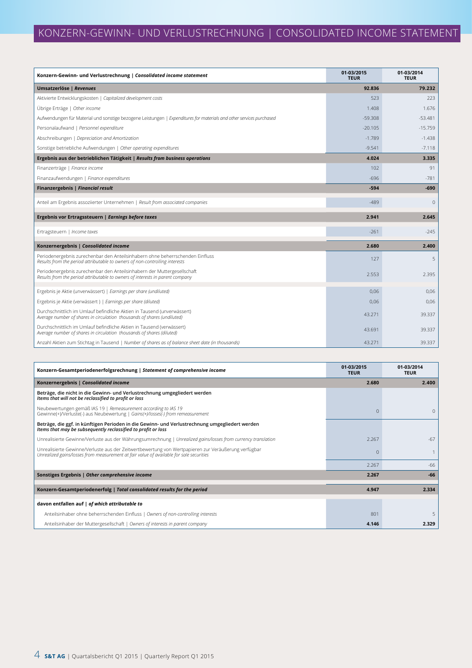| Konzern-Gewinn- und Verlustrechnung   Consolidated income statement                                                                                          | 01-03/2015<br><b>TEUR</b> | 01-03/2014<br><b>TEUR</b> |
|--------------------------------------------------------------------------------------------------------------------------------------------------------------|---------------------------|---------------------------|
| Umsatzerlöse   Revenues                                                                                                                                      | 92.836                    | 79.232                    |
| Aktivierte Entwicklungskosten   Capitalized development costs                                                                                                | 523                       | 223                       |
| Übrige Erträge   Other income                                                                                                                                | 1.408                     | 1.676                     |
| Aufwendungen für Material und sonstige bezogene Leistungen   Expenditures for materials and other services purchased                                         | $-59.308$                 | $-53.481$                 |
| Personalaufwand   Personnel expenditure                                                                                                                      | $-20.105$                 | $-15.759$                 |
| Abschreibungen   Depreciation and Amortization                                                                                                               | $-1.789$                  | $-1.438$                  |
| Sonstige betriebliche Aufwendungen   Other operating expenditures                                                                                            | $-9.541$                  | $-7.118$                  |
| Ergebnis aus der betrieblichen Tätigkeit   Results from business operations                                                                                  | 4.024                     | 3.335                     |
| Finanzerträge   Finance income                                                                                                                               | 102                       | 91                        |
| Finanzaufwendungen   Finance expenditures                                                                                                                    | $-696$                    | $-781$                    |
| Finanzergebnis   Financial result                                                                                                                            | $-594$                    | $-690$                    |
| Anteil am Ergebnis assoziierter Unternehmen   Result from associated companies                                                                               | $-489$                    | $\mathbf{0}$              |
| Ergebnis vor Ertragssteuern   Earnings before taxes                                                                                                          | 2.941                     | 2.645                     |
| Ertragsteuern   Income taxes                                                                                                                                 | $-261$                    | $-245$                    |
| Konzernergebnis   Consolidated income                                                                                                                        | 2.680                     | 2.400                     |
| Periodenergebnis zurechenbar den Anteilsinhabern ohne beherrschenden Einfluss<br>Results from the period attributable to owners of non-controlling interests | 127                       | 5                         |
| Periodenergebnis zurechenbar den Anteilsinhabern der Muttergesellschaft<br>Results from the period attributable to owners of interests in parent company     | 2.553                     | 2.395                     |
| Ergebnis je Aktie (unverwässert)   Earnings per share (undiluted)                                                                                            | 0.06                      | 0.06                      |
| Ergebnis je Aktie (verwässert)   Earnings per share (diluted)                                                                                                | 0,06                      | 0,06                      |
| Durchschnittlich im Umlauf befindliche Aktien in Tausend (unverwässert)<br>Average number of shares in circulation thousands of shares (undiluted)           | 43.271                    | 39.337                    |
| Durchschnittlich im Umlauf befindliche Aktien in Tausend (verwässert)<br>Average number of shares in circulation thousands of shares (diluted)               | 43.691                    | 39.337                    |
| Anzahl Aktien zum Stichtag in Tausend   Number of shares as of balance sheet date (in thousands)                                                             | 43.271                    | 39.337                    |

| Konzern-Gesamtperiodenerfolgsrechnung   Statement of comprehensive income                                                                                                                      | 01-03/2015<br><b>TEUR</b> | 01-03/2014<br><b>TEUR</b> |
|------------------------------------------------------------------------------------------------------------------------------------------------------------------------------------------------|---------------------------|---------------------------|
| Konzernergebnis   Consolidated income                                                                                                                                                          | 2.680                     | 2.400                     |
| Beträge, die nicht in die Gewinn- und Verlustrechnung umgegliedert werden<br>Items that will not be reclassified to profit or loss                                                             |                           |                           |
| Neubewertungen gemäß IAS 19   Remeasurement according to IAS 19<br>Gewinne(+)/Verluste(-) aus Neubewertung   Gains(+)/losses(-) from remeasurement                                             | U                         | $\Omega$                  |
| Beträge, die ggf. in künftigen Perioden in die Gewinn- und Verlustrechnung umgegliedert werden<br>Items that may be subsequently reclassified to profit or loss                                |                           |                           |
| Unrealisierte Gewinne/Verluste aus der Währungsumrechnung   Unrealized gains/losses from currency translation                                                                                  | 2.267                     | $-67$                     |
| Unrealisierte Gewinne/Verluste aus der Zeitwertbewertung von Wertpapieren zur Veräußerung verfügbar<br>Unrealized gains/losses from measurement at fair value of available for sale securities |                           |                           |
|                                                                                                                                                                                                | 2.267                     | $-66$                     |
| Sonstiges Ergebnis   Other comprehensive income                                                                                                                                                | 2.267                     | $-66$                     |
| Konzern-Gesamtperiodenerfolg   Total consolidated results for the period                                                                                                                       | 4.947                     | 2.334                     |
| davon entfallen auf   of which attributable to                                                                                                                                                 |                           |                           |
| Anteilsinhaber ohne beherrschenden Einfluss   Owners of non-controlling interests                                                                                                              | 801                       | 5                         |
| Anteilsinhaber der Muttergesellschaft   Owners of interests in parent company                                                                                                                  | 4.146                     | 2.329                     |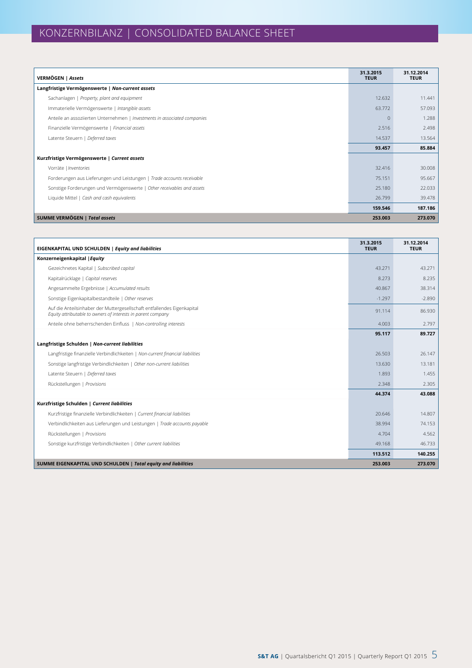| VERMÖGEN   Assets                                                         | 31.3.2015<br><b>TEUR</b> | 31.12.2014<br><b>TEUR</b> |
|---------------------------------------------------------------------------|--------------------------|---------------------------|
| Langfristige Vermögenswerte   Non-current assets                          |                          |                           |
| Sachanlagen   Property, plant and equipment                               | 12.632                   | 11.441                    |
| Immaterielle Vermögenswerte   Intangible assets                           | 63.772                   | 57.093                    |
| Anteile an assoziierten Unternehmen   Investments in associated companies | $\Omega$                 | 1.288                     |
| Finanzielle Vermögenswerte   Financial assets                             | 2.516                    | 2.498                     |
| Latente Steuern   Deferred taxes                                          | 14.537                   | 13.564                    |
|                                                                           | 93.457                   | 85.884                    |
| Kurzfristige Vermögenswerte   Current assets                              |                          |                           |
| Vorräte   Inventories                                                     | 32.416                   | 30.008                    |
| Forderungen aus Lieferungen und Leistungen   Trade accounts receivable    | 75.151                   | 95.667                    |
| Sonstige Forderungen und Vermögenswerte   Other receivables and assets    | 25.180                   | 22.033                    |
| Liquide Mittel   Cash and cash equivalents                                | 26.799                   | 39.478                    |
|                                                                           | 159.546                  | 187.186                   |
| <b>SUMME VERMÖGEN   Total assets</b>                                      | 253.003                  | 273.070                   |

| EIGENKAPITAL UND SCHULDEN   Equity and liabilities                                                                                      | 31.3.2015<br><b>TEUR</b> | 31.12.2014<br><b>TEUR</b> |
|-----------------------------------------------------------------------------------------------------------------------------------------|--------------------------|---------------------------|
| Konzerneigenkapital   Equity                                                                                                            |                          |                           |
| Gezeichnetes Kapital   Subscribed capital                                                                                               | 43.271                   | 43.271                    |
| Kapitalrücklage   Capital reserves                                                                                                      | 8.273                    | 8.235                     |
| Angesammelte Ergebnisse   Accumulated results                                                                                           | 40.867                   | 38.314                    |
| Sonstige Eigenkapitalbestandteile   Other reserves                                                                                      | $-1.297$                 | $-2.890$                  |
| Auf die Anteilsinhaber der Muttergesellschaft entfallendes Eigenkapital<br>Equity attributable to owners of interests in parent company | 91.114                   | 86.930                    |
| Anteile ohne beherrschenden Einfluss   Non-controlling interests                                                                        | 4.003                    | 2.797                     |
|                                                                                                                                         | 95.117                   | 89.727                    |
| Langfristige Schulden   Non-current liabilities                                                                                         |                          |                           |
| Langfristige finanzielle Verbindlichkeiten   Non-current financial liabilities                                                          | 26.503                   | 26.147                    |
| Sonstige langfristige Verbindlichkeiten   Other non-current liabilities                                                                 | 13.630                   | 13.181                    |
| Latente Steuern   Deferred taxes                                                                                                        | 1.893                    | 1.455                     |
| Rückstellungen   Provisions                                                                                                             | 2.348                    | 2.305                     |
|                                                                                                                                         | 44.374                   | 43.088                    |
| Kurzfristige Schulden   Current liabilities                                                                                             |                          |                           |
| Kurzfristige finanzielle Verbindlichkeiten   Current financial liabilities                                                              | 20.646                   | 14.807                    |
| Verbindlichkeiten aus Lieferungen und Leistungen   Trade accounts payable                                                               | 38.994                   | 74.153                    |
| Rückstellungen   Provisions                                                                                                             | 4.704                    | 4.562                     |
| Sonstige kurzfristige Verbindlichkeiten   Other current liabilities                                                                     | 49.168                   | 46.733                    |
|                                                                                                                                         | 113.512                  | 140.255                   |
| SUMME EIGENKAPITAL UND SCHULDEN   Total equity and liabilities                                                                          | 253.003                  | 273.070                   |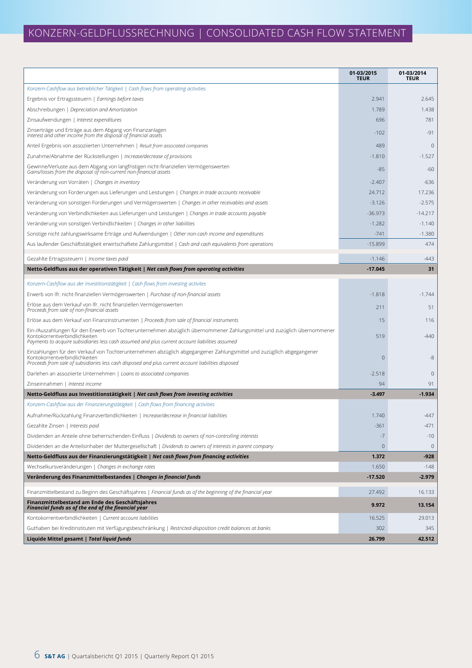# KONZERN-GELDFLUSSRECHNUNG | CONSOLIDATED CASH FLOW STATEMENT

|                                                                                                                                                                                                                                                               | 01-03/2015<br><b>TEUR</b> | 01-03/2014<br><b>TEUR</b> |
|---------------------------------------------------------------------------------------------------------------------------------------------------------------------------------------------------------------------------------------------------------------|---------------------------|---------------------------|
| Konzern-Cashflow aus betrieblicher Tätigkeit   Cash flows from operating activities                                                                                                                                                                           |                           |                           |
| Ergebnis vor Ertragssteuern   Earnings before taxes                                                                                                                                                                                                           | 2.941                     | 2.645                     |
| Abschreibungen   Depreciation and Amortization                                                                                                                                                                                                                | 1.789                     | 1.438                     |
| Zinsaufwendungen   Interest expenditures                                                                                                                                                                                                                      | 696                       | 781                       |
| Zinserträge und Erträge aus dem Abgang von Finanzanlagen<br>Interest and other income from the disposal of financial assets                                                                                                                                   | $-102$                    | $-91$                     |
| Anteil Ergebnis von assoziierten Unternehmen   Result from associated companies                                                                                                                                                                               | 489                       | $\mathbf{0}$              |
| Zunahme/Abnahme der Rückstellungen   Increase/decrease of provisions                                                                                                                                                                                          | $-1.810$                  | $-1.527$                  |
| Gewinne/Verluste aus dem Abgang von langfristigen nicht-finanziellen Vermögenswerten<br>Gains/losses from the disposal of non-current non-financial assets                                                                                                    | $-85$                     | $-60$                     |
| Veränderung von Vorräten   Changes in inventory                                                                                                                                                                                                               | $-2.407$                  | $-636$                    |
| Veränderung von Forderungen aus Lieferungen und Leistungen   Changes in trade accounts receivable                                                                                                                                                             | 24.712                    | 17.236                    |
| Veränderung von sonstigen Forderungen und Vermögenswerten   Changes in other receivables and assets                                                                                                                                                           | $-3.126$                  | $-2.575$                  |
| Veränderung von Verbindlichkeiten aus Lieferungen und Leistungen   Changes in trade accounts payable                                                                                                                                                          | $-36.973$                 | $-14.217$                 |
| Veränderung von sonstigen Verbindlichkeiten   Changes in other liabilities                                                                                                                                                                                    | $-1.282$                  | $-1.140$                  |
| Sonstige nicht zahlungswirksame Erträge und Aufwendungen   Other non-cash income and expenditures                                                                                                                                                             | $-741$                    | $-1.380$                  |
| Aus laufender Geschäftstätigkeit erwirtschaftete Zahlungsmittel   Cash and cash equivalents from operations                                                                                                                                                   | $-15.899$                 | 474                       |
| Gezahlte Ertragssteuern   Income taxes paid                                                                                                                                                                                                                   | $-1.146$                  | $-443$                    |
| Netto-Geldfluss aus der operativen Tätigkeit   Net cash flows from operating activities                                                                                                                                                                       | $-17.045$                 | 31                        |
| Konzern-Cashflow aus der Investitionstätigkeit   Cash flows from investing activites                                                                                                                                                                          |                           |                           |
| Erwerb von Ifr. nicht-finanziellen Vermögenswerten   Purchase of non-financial assets                                                                                                                                                                         | $-1.818$                  | $-1.744$                  |
| Erlöse aus dem Verkauf von Ifr. nicht finanziellen Vermögenswerten<br>Proceeds from sale of non-financial assets                                                                                                                                              | 211                       | 51                        |
| Erlöse aus dem Verkauf von Finanzinstrumenten   Proceeds from sale of financial instruments                                                                                                                                                                   | 15                        | 116                       |
| Ein-/Auszahlungen für den Erwerb von Tochterunternehmen abzüglich übernommener Zahlungsmittel und zuzüglich übernommener<br>Kontokorrentverbindlichkeiten                                                                                                     | 519                       | $-440$                    |
| Payments to acquire subsidiaries less cash assumed and plus current account liabilities assumed                                                                                                                                                               |                           |                           |
| Einzahlungen für den Verkauf von Tochterunternehmen abzüglich abgegangener Zahlungsmittel und zuzügllich abgegangener<br>Kontokorrentverbindlichkeiten<br>Proceeds from sale of subsidiaries less cash disposed and plus current account liabilities disposed | 0                         | $-8$                      |
| Darlehen an assoziierte Unternehmen   Loans to associated companies                                                                                                                                                                                           | $-2.518$                  | $\mathbf{0}$              |
| Zinseinnahmen   Interest income                                                                                                                                                                                                                               | 94                        | 91                        |
| Netto-Geldfluss aus Investitionstätigkeit   Net cash flows from investing activities                                                                                                                                                                          | $-3.497$                  | $-1.934$                  |
| Konzern-Cashflow aus der Finanzierungstätigkeit   Cash flows from financing activities                                                                                                                                                                        |                           |                           |
| Aufnahme/Rückzahlung Finanzverbindlichkeiten   Increase/decrease in financial liabilities                                                                                                                                                                     | 1.740                     | $-447$                    |
| Gezahlte Zinsen   Interests paid                                                                                                                                                                                                                              | -361                      | $-471$                    |
| Dividenden an Anteile ohne beherrschenden Einfluss   Dividends to owners of non-controlling interests                                                                                                                                                         | $-7$                      | $-10$                     |
| Dividenden an die Anteilsinhaber der Muttergesellschaft   Dividends to owners of interests in parent company                                                                                                                                                  | $\mathbf 0$               | $\mathbf{0}$              |
| Netto-Geldfluss aus der Finanzierungstätigkeit   Net cash flows from financing activities                                                                                                                                                                     | 1.372                     | $-928$                    |
| Wechselkursveränderungen   Changes in exchange rates                                                                                                                                                                                                          | 1.650                     | $-148$                    |
| Veränderung des Finanzmittelbestandes   Changes in financial funds                                                                                                                                                                                            | $-17.520$                 | -2.979                    |
| Finanzmittelbestand zu Beginn des Geschäftsjahres   Financial funds as of the beginning of the financial year                                                                                                                                                 | 27.492                    | 16.133                    |
| Finanzmittelbestand am Ende des Geschäftsjahres                                                                                                                                                                                                               | 9.972                     | 13.154                    |
| Financial funds as of the end of the financial year<br>Kontokorrentverbindlichkeiten   Current account liabilities                                                                                                                                            | 16.525                    | 29.013                    |
| Guthaben bei Kreditinstituten mit Verfügungsbeschränkung   Restricted-disposition credit balances at banks                                                                                                                                                    | 302                       | 345                       |
| Liquide Mittel gesamt   Total liquid funds                                                                                                                                                                                                                    | 26.799                    | 42.512                    |
|                                                                                                                                                                                                                                                               |                           |                           |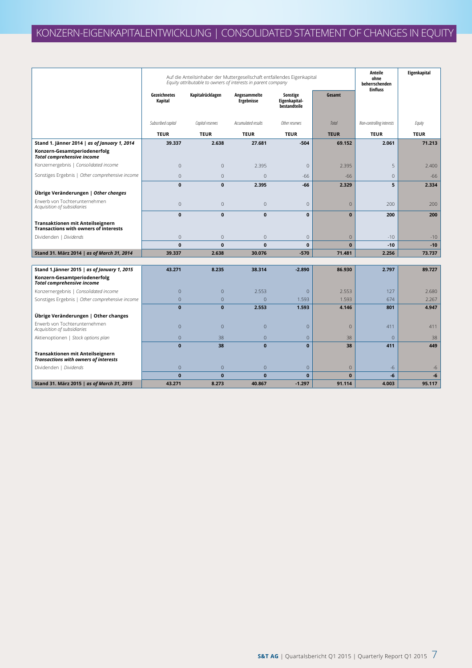|                                                                                  |                         | Auf die Anteilsinhaber der Muttergesellschaft entfallendes Eigenkapital<br>Equity attributable to owners of interests in parent company |                                   |                                           |              |                           | Eigenkapital |
|----------------------------------------------------------------------------------|-------------------------|-----------------------------------------------------------------------------------------------------------------------------------------|-----------------------------------|-------------------------------------------|--------------|---------------------------|--------------|
|                                                                                  | Gezeichnetes<br>Kapital | Kapitalrücklagen                                                                                                                        | Angesammelte<br><b>Ergebnisse</b> | Sonstige<br>Eigenkapital-<br>bestandteile | Gesamt       | <b>Einfluss</b>           |              |
|                                                                                  | Subscribed capital      | Capital reserves                                                                                                                        | Accumulated results               | Other reserves                            | Total        | Non-controlling interests | Equity       |
|                                                                                  | <b>TEUR</b>             | <b>TEUR</b>                                                                                                                             | <b>TEUR</b>                       | <b>TEUR</b>                               | <b>TEUR</b>  | <b>TEUR</b>               | <b>TEUR</b>  |
| Stand 1. Jänner 2014   as of January 1, 2014                                     | 39.337                  | 2.638                                                                                                                                   | 27.681                            | $-504$                                    | 69.152       | 2.061                     | 71.213       |
| Konzern-Gesamtperiodenerfolg<br><b>Total comprehensive income</b>                |                         |                                                                                                                                         |                                   |                                           |              |                           |              |
| Konzernergebnis   Consolidated income                                            | $\mathbf 0$             | $\mathbf{0}$                                                                                                                            | 2.395                             | $\mathbf{0}$                              | 2.395        | 5                         | 2.400        |
| Sonstiges Ergebnis   Other comprehensive income                                  | $\mathbf 0$             | $\mathbf{0}$                                                                                                                            | $\Omega$                          | $-66$                                     | $-66$        | $\overline{0}$            | $-66$        |
|                                                                                  | $\mathbf{0}$            | $\mathbf{0}$                                                                                                                            | 2.395                             | $-66$                                     | 2.329        | 5                         | 2.334        |
| Übrige Veränderungen   Other changes                                             |                         |                                                                                                                                         |                                   |                                           |              |                           |              |
| Erwerb von Tochterunternehmen<br>Acquisition of subsidiaries                     | $\mathbb O$             | $\overline{0}$                                                                                                                          | $\mathbf 0$                       | $\mathbf{0}$                              | $\mathbf 0$  | 200                       | 200          |
|                                                                                  | $\mathbf{0}$            | $\mathbf{0}$                                                                                                                            | $\mathbf{0}$                      | $\mathbf{0}$                              | $\mathbf{0}$ | 200                       | 200          |
| Transaktionen mit Anteilseignern<br><b>Transactions with owners of interests</b> |                         |                                                                                                                                         |                                   |                                           |              |                           |              |
| Dividenden   Dividends                                                           | $\mathbf 0$             | $\Omega$                                                                                                                                | $\overline{0}$                    | $\mathbf{0}$                              | $\mathbf{0}$ | $-10$                     | $-10$        |
|                                                                                  | $\mathbf{0}$            | $\mathbf{0}$                                                                                                                            | $\mathbf{0}$                      | $\mathbf{0}$                              | $\mathbf{0}$ | $-10$                     | $-10$        |
| Stand 31. März 2014   as of March 31, 2014                                       | 39.337                  | 2.638                                                                                                                                   | 30.076                            | $-570$                                    | 71.481       | 2.256                     | 73.737       |
| Stand 1.Jänner 2015   as of January 1, 2015                                      | 43.271                  | 8.235                                                                                                                                   | 38.314                            | $-2.890$                                  | 86.930       | 2.797                     | 89.727       |
| Konzern-Gesamtperiodenerfolg<br><b>Total comprehensive income</b>                |                         |                                                                                                                                         |                                   |                                           |              |                           |              |
| Konzernergebnis   Consolidated income                                            | $\mathbf{0}$            | $\overline{0}$                                                                                                                          | 2.553                             | $\mathbf{0}$                              | 2.553        | 127                       | 2.680        |
| Sonstiges Ergebnis   Other comprehensive income                                  | $\overline{0}$          | $\overline{0}$                                                                                                                          | $\overline{0}$                    | 1.593                                     | 1.593        | 674                       | 2.267        |
|                                                                                  | $\bf{0}$                | $\mathbf{0}$                                                                                                                            | 2.553                             | 1.593                                     | 4.146        | 801                       | 4.947        |
| Übrige Veränderungen   Other changes<br>Erwerb von Tochterunternehmen            |                         |                                                                                                                                         |                                   |                                           |              |                           |              |
| Acquisition of subsidiaries                                                      | $\overline{0}$          | $\overline{0}$                                                                                                                          | $\overline{0}$                    | $\mathbf{0}$                              | $\mathbf 0$  | 411                       | 411          |
| Aktienoptionen   Stock options plan                                              | $\overline{0}$          | 38                                                                                                                                      | $\overline{0}$                    | $\mathbf{0}$                              | 38           | $\overline{0}$            | 38           |
| Transaktionen mit Anteilseignern                                                 | $\mathbf{0}$            | 38                                                                                                                                      | $\mathbf{0}$                      | $\mathbf{0}$                              | 38           | 411                       | 449          |
| <b>Transactions with owners of interests</b>                                     |                         |                                                                                                                                         |                                   |                                           |              |                           |              |
| Dividenden   Dividends                                                           | $\mathbf{0}$            | $\overline{0}$                                                                                                                          | $\mathbf{0}$                      | $\mathbf{0}$                              | $\mathbf{0}$ | -6                        | -6           |
|                                                                                  | $\mathbf{0}$            | $\bf{0}$                                                                                                                                | $\mathbf 0$                       | $\mathbf{0}$                              | $\mathbf{0}$ | -6                        | -6           |
| Stand 31. März 2015   as of March 31, 2015                                       | 43.271                  | 8.273                                                                                                                                   | 40.867                            | $-1.297$                                  | 91.114       | 4.003                     | 95.117       |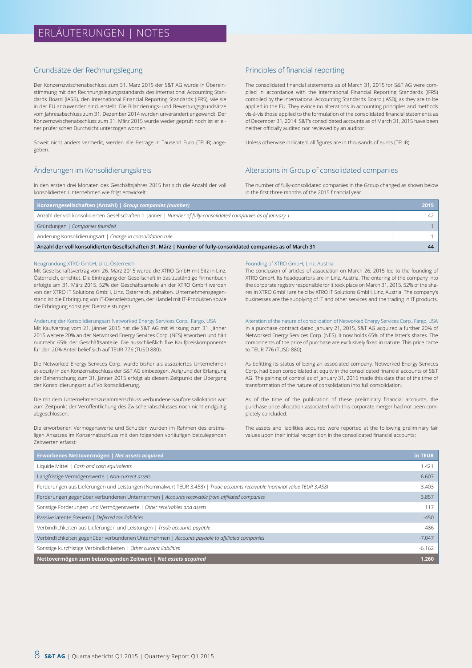#### Grundsätze der Rechnungslegung

Der Konzernzwischenabschluss zum 31. März 2015 der S&T AG wurde in Übereinstimmung mit den Rechnungslegungsstandards des International Accounting Standards Board (IASB), den International Financial Reporting Standards (IFRS), wie sie in der EU anzuwenden sind, erstellt. Die Bilanzierungs- und Bewertungsgrundsätze vom Jahresabschluss zum 31. Dezember 2014 wurden unverändert angewandt. Der Konzernzwischenabschluss zum 31. März 2015 wurde weder geprüft noch ist er einer prüferischen Durchsicht unterzogen worden.

Soweit nicht anders vermerkt, werden alle Beträge in Tausend Euro (TEUR) angegeben.

### Änderungen im Konsolidierungskreis

In den ersten drei Monaten des Geschäftsjahres 2015 hat sich die Anzahl der voll konsolidierten Unternehmen wie folgt entwickelt:

#### Principles of financial reporting

The consolidated financial statements as of March 31, 2015 for S&T AG were compiled in accordance with the International Financial Reporting Standards (IFRS) compiled by the International Accounting Standards Board (IASB), as they are to be applied in the EU. They evince no alterations in accounting principles and methods vis-à-vis those applied to the formulation of the consolidated financial statements as of December 31, 2014. S&T's consolidated accounts as of March 31, 2015 have been neither officially audited nor reviewed by an auditor.

Unless otherwise indicated, all figures are in thousands of euros (TEUR).

#### Alterations in Group of consolidated companies

The number of fully-consolidated companies in the Group changed as shown below in the first three months of the 2015 financial year:

| Konzerngesellschaften (Anzahl)   Group companies (number)                                                        | 2015 |
|------------------------------------------------------------------------------------------------------------------|------|
| Anzahl der voll konsolidierten Gesellschaften 1. Jänner   Number of fully-consolidated companies as of January 1 | 42   |
| Gründungen   Companies founded                                                                                   |      |
| Änderung Konsolidierungsart   Change in consolidation rule                                                       |      |
| Anzahl der voll konsolidierten Gesellschaften 31. März   Number of fully-consolidated companies as of March 31   | 44   |

#### Neugründung XTRO GmbH, Linz, Österreich

Mit Gesellschaftsvertrag vom 26. März 2015 wurde die XTRO GmbH mit Sitz in Linz, Österreich, errichtet. Die Eintragung der Gesellschaft in das zuständige Firmenbuch erfolgte am 31. März 2015. 52% der Geschäftsanteile an der XTRO GmbH werden von der XTRO IT Solutions GmbH, Linz, Österreich, gehalten. Unternehmensgegenstand ist die Erbringung von IT-Dienstleistungen, der Handel mit IT-Produkten sowie die Erbringung sonstiger Dienstleistungen.

#### Änderung der Konsolidierungsart Networked Energy Services Corp., Fargo, USA

Mit Kaufvertrag vom 21. Jänner 2015 hat die S&T AG mit Wirkung zum 31. Jänner 2015 weitere 20% an der Networked Energy Services Corp. (NES) erworben und hält nunmehr 65% der Geschäftsanteile. Die ausschließlich fixe Kaufpreiskomponente für den 20%-Anteil belief sich auf TEUR 776 (TUSD 880).

Die Networked Energy Services Corp. wurde bisher als assoziiertes Unternehmen at-equity in den Konzernabschluss der S&T AG einbezogen. Aufgrund der Erlangung der Beherrschung zum 31. Jänner 2015 erfolgt ab diesem Zeitpunkt der Übergang der Konsolidierungsart auf Vollkonsolidierung.

Die mit dem Unternehmenszusammenschluss verbundene Kaufpreisallokation war zum Zeitpunkt der Veröffentlichung des Zwischenabschlusses noch nicht endgültig abgeschlossen.

Die erworbenen Vermögenswerte und Schulden wurden im Rahmen des erstmaligen Ansatzes im Konzernabschluss mit den folgenden vorläufigen beizulegenden Zeitwerten erfasst:

#### Founding of XTRO GmbH, Linz, Austria

The conclusion of articles of association on March 26, 2015 led to the founding of XTRO GmbH. Its headquarters are in Linz, Austria. The entering of the company into the corporate registry responsible for it took place on March 31, 2015. 52% of the shares in XTRO GmbH are held by XTRO IT Solutions GmbH, Linz, Austria. The company's businesses are the supplying of IT and other services and the trading in IT products.

Alteration of the nature of consolidation of Networked Energy Services Corp., Fargo, USA In a purchase contract dated January 21, 2015, S&T AG acquired a further 20% of Networked Energy Services Corp. (NES). It now holds 65% of the latter's shares. The components of the price of purchase are exclusively fixed in nature. This price came to TEUR 776 (TUSD 880).

As befitting its status of being an associated company, Networked Energy Services Corp. had been consolidated at equity in the consolidated financial accounts of S&T AG. The gaining of control as of January 31, 2015 made this date that of the time of transformation of the nature of consolidation into full consolidation.

As of the time of the publication of these preliminary financial accounts, the purchase price allocation associated with this corporate merger had not been completely concluded.

The assets and liabilities acquired were reported at the following preliminary fair values upon their initial recognition in the consolidated financial accounts:

| Erworbenes Nettovermögen   Net assets acquired                                                                             | in TEUR  |
|----------------------------------------------------------------------------------------------------------------------------|----------|
| Liquide Mittel   Cash and cash equivalents                                                                                 | 1.421    |
| Langfristige Vermögenswerte   Non-current assets                                                                           | 6.607    |
| Forderungen aus Lieferungen und Leistungen (Nominalwert TEUR 3.458)   Trade accounts receivable (nominal value TEUR 3.458) | 3.403    |
| Forderungen gegenüber verbundenen Unternehmen   Accounts receivable from affiliated companies                              | 3.857    |
| Sonstige Forderungen und Vermögenswerte   Other receivables and assets                                                     | 117      |
| Passive latente Steuern   Deferred tax liabilities                                                                         | $-450$   |
| Verbindlichkeiten aus Lieferungen und Leistungen   Trade accounts payable                                                  | $-486$   |
| Verbindlichkeiten gegenüber verbundenen Unternehmen   Accounts payable to affiliated companies                             | $-7.047$ |
| Sonstige kurzfristige Verbindlichkeiten   Other current liabilities                                                        | $-6.162$ |
| Nettovermögen zum beizulegenden Zeitwert   Net assets acquired                                                             | 1.260    |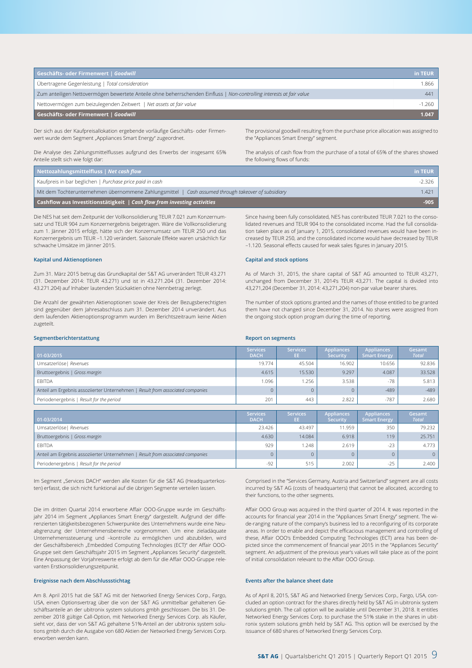| Geschäfts- oder Firmenwert   Goodwill                                                                                 | in TEUR  |
|-----------------------------------------------------------------------------------------------------------------------|----------|
| Übertragene Gegenleistung   Total consideration                                                                       | 1.866    |
| Zum anteiligen Nettovermögen bewertete Anteile ohne beherrschenden Einfluss   Non-controlling interests at fair value | 441      |
| Nettovermögen zum beizulegenden Zeitwert   Net assets at fair value                                                   | $-1.260$ |
| Geschäfts- oder Firmenwert   Goodwill                                                                                 | 1.047    |

Der sich aus der Kaufpreisallokation ergebende vorläufige Geschäfts- oder Firmenwert wurde dem Segment "Appliances Smart Energy" zugeordnet.

Die Analyse des Zahlungsmittelflusses aufgrund des Erwerbs der insgesamt 65% Anteile stellt sich wie folgt dar:

The provisional goodwill resulting from the purchase price allocation was assigned to the "Appliances Smart Energy" segment.

The analysis of cash flow from the purchase of a total of 65% of the shares showed the following flows of funds:

| Nettozahlungsmittelfluss   Net cash flow                                                            | in TEUR |
|-----------------------------------------------------------------------------------------------------|---------|
| Kaufpreis in bar beglichen   Purchase price paid in cash                                            | -2.326  |
| Mit dem Tochterunternehmen übernommene Zahlungsmittel   Cash assumed through takeover of subsidiary | 1.421   |
| Cashflow aus Investitionstätigkeit   $Cash$ flow from investing activities                          | $-905$  |

Die NES hat seit dem Zeitpunkt der Vollkonsolidierung TEUR 7.021 zum Konzernumsatz und TEUR 904 zum Konzernergebnis beigetragen. Wäre die Vollkonsolidierung zum 1. Jänner 2015 erfolgt, hätte sich der Konzernumsatz um TEUR 250 und das Konzernergebnis um TEUR –1.120 verändert. Saisonale Effekte waren ursächlich für schwache Umsätze im Jänner 2015.

#### **Kapital und Aktienoptionen**

Zum 31. März 2015 betrug das Grundkapital der S&T AG unverändert TEUR 43.271 (31. Dezember 2014: TEUR 43.271) und ist in 43.271.204 (31. Dezember 2014: 43.271.204) auf Inhaber lautenden Stückaktien ohne Nennbetrag zerlegt.

Die Anzahl der gewährten Aktienoptionen sowie der Kreis der Bezugsberechtigten sind gegenüber dem Jahresabschluss zum 31. Dezember 2014 unverändert. Aus dem laufenden Aktienoptionsprogramm wurden im Berichtszeitraum keine Aktien zugeteilt.

Since having been fully consolidated, NES has contributed TEUR 7.021 to the consolidated revenues and TEUR 904 to the consolidated income. Had the full consolidation taken place as of January 1, 2015, consolidated revenues would have been increased by TEUR 250, and the consolidated income would have decreased by TEUR –1.120. Seasonal effects caused for weak sales figures in January 2015.

#### **Capital and stock options**

**Report on segments**

As of March 31, 2015, the share capital of S&T AG amounted to TEUR 43,271, unchanged from December 31, 2014's TEUR 43,271. The capital is divided into 43,271,204 (December 31, 2014: 43,271,204) non-par value bearer shares.

The number of stock options granted and the names of those entitled to be granted them have not changed since December 31, 2014. No shares were assigned from the ongoing stock option program during the time of reporting.

#### **Segmentberichterstattung**

| $\big  01 - 03/2015 \big $                                                     | <b>Services</b><br><b>DACH</b> | <b>Services</b><br>EE. | <b>Appliances</b><br><b>Security</b> | <b>Appliances</b><br>Smart Energy | Gesamt<br><b>Total</b> |
|--------------------------------------------------------------------------------|--------------------------------|------------------------|--------------------------------------|-----------------------------------|------------------------|
| Umsatzerlöse   Revenues                                                        | 19.774                         | 45.504                 | 16.902                               | 10.656                            | 92.836                 |
| Bruttoergebnis   Gross margin                                                  | 4.615                          | 15.530                 | 9.297                                | 4.087                             | 33.528                 |
| <b>EBITDA</b>                                                                  | .096                           | 1.256                  | 3.538                                | $-78$                             | 5.813                  |
| Anteil am Ergebnis assoziierter Unternehmen   Result from associated companies | 0                              |                        |                                      | $-489$                            | $-489$                 |
| Periodenergebnis   Result for the period                                       | 201                            | 443                    | 2.822                                | $-787$                            | 2.680                  |

| $  01 - 03/2014  $                                                             | <b>Services</b><br><b>DACH</b> | <b>Services</b><br>EE. | <b>Appliances</b><br><b>Security</b> | <b>Appliances</b><br><b>Smart Energy</b> | Gesamt<br>Total |
|--------------------------------------------------------------------------------|--------------------------------|------------------------|--------------------------------------|------------------------------------------|-----------------|
| Umsatzerlöse   Revenues                                                        | 23.426                         | 43.497                 | 11.959                               | 350                                      | 79.232          |
| Bruttoergebnis   Gross margin                                                  | 4.630                          | 14.084                 | 6.918                                | 119                                      | 25.751          |
| <b>EBITDA</b>                                                                  | 929                            | 1.248                  | 2.619                                | $-23$                                    | 4.773           |
| Anteil am Ergebnis assoziierter Unternehmen   Result from associated companies | 0                              |                        |                                      |                                          | $\Omega$        |
| Periodenergebnis   Result for the period                                       | $-92$                          | 515                    | 2.002                                | $-25$                                    | 2.400           |

Im Segment "Services DACH" werden alle Kosten für die S&T AG (Headquarterkosten) erfasst, die sich nicht funktional auf die übrigen Segmente verteilen lassen.

Die im dritten Quartal 2014 erworbene Affair OOO-Gruppe wurde im Geschäftsjahr 2014 im Segment "Appliances Smart Energy" dargestellt. Aufgrund der differenzierten tätigkeitsbezogenen Schwerpunkte des Unternehmens wurde eine Neuabgrenzung der Unternehmensbereiche vorgenommen. Um eine zieladäquate Unternehmenssteuerung und –kontrolle zu ermöglichen und abzubilden, wird der Geschäftsbereich "Embedded Computing Technologies (ECT)" der Affair OOO-Gruppe seit dem Geschäftsjahr 2015 im Segment "Appliances Security" dargestellt. Eine Anpassung der Vorjahreswerte erfolgt ab dem für die Affair OOO-Gruppe relevanten Erstkonsolidierungszeitpunkt.

#### **Ereignisse nach dem Abschlussstichtag**

Am 8. April 2015 hat die S&T AG mit der Networked Energy Services Corp., Fargo, USA, einen Optionsvertrag über die von der S&T AG unmittelbar gehaltenen Geschäftsanteile an der ubitronix system solutions gmbh geschlossen. Die bis 31. Dezember 2018 gültige Call-Option, mit Networked Energy Services Corp. als Käufer, sieht vor, dass der von S&T AG gehaltene 51%-Anteil an der ubitronix system solutions gmbh durch die Ausgabe von 680 Aktien der Networked Energy Services Corp. erworben werden kann.

Comprised in the "Services Germany, Austria and Switzerland" segment are all costs incurred by S&T AG (costs of headquarters) that cannot be allocated, according to their functions, to the other segments.

Affair OOO Group was acquired in the third quarter of 2014. It was reported in the accounts for financial year 2014 in the "Appliances Smart Energy" segment. The wide-ranging nature of the company's business led to a reconfiguring of its corporate areas. In order to enable and depict the efficacious management and controlling of these, Affair OOO's Embedded Computing Technologies (ECT) area has been depicted since the commencement of financial year 2015 in the "Appliances Security" segment. An adjustment of the previous year's values will take place as of the point of initial consolidation relevant to the Affair OOO Group.

#### **Events after the balance sheet date**

As of April 8, 2015, S&T AG and Networked Energy Services Corp., Fargo, USA, concluded an option contract for the shares directly held by S&T AG in ubitronix system solutions gmbh. The call option will be available until December 31, 2018. It entitles Networked Energy Services Corp. to purchase the 51% stake in the shares in ubitronix system solutions gmbh held by S&T AG. This option will be exercised by the issuance of 680 shares of Networked Energy Services Corp.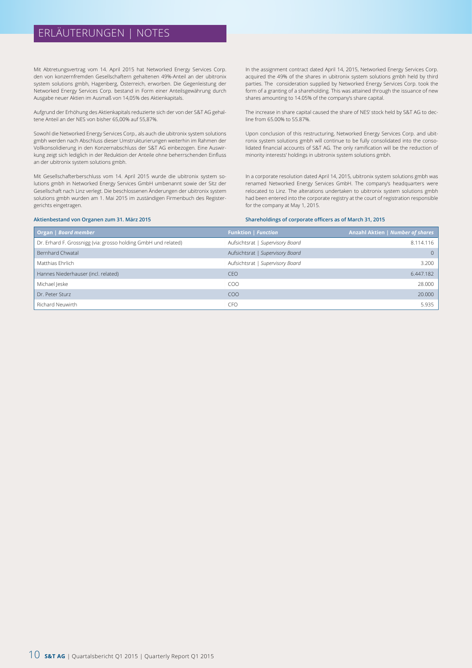# ERLÄUTERUNGEN | NOTES

Mit Abtretungsvertrag vom 14. April 2015 hat Networked Energy Services Corp. den von konzernfremden Gesellschaftern gehaltenen 49%-Anteil an der ubitronix system solutions gmbh, Hagenberg, Österreich, erworben. Die Gegenleistung der Networked Energy Services Corp. bestand in Form einer Anteilsgewährung durch Ausgabe neuer Aktien im Ausmaß von 14,05% des Aktienkapitals.

Aufgrund der Erhöhung des Aktienkapitals reduzierte sich der von der S&T AG gehaltene Anteil an der NES von bisher 65,00% auf 55,87%.

Sowohl die Networked Energy Services Corp., als auch die ubitronix system solutions gmbh werden nach Abschluss dieser Umstrukturierungen weiterhin im Rahmen der Vollkonsolidierung in den Konzernabschluss der S&T AG einbezogen. Eine Auswirkung zeigt sich lediglich in der Reduktion der Anteile ohne beherrschenden Einfluss an der ubitronix system solutions gmbh.

Mit Gesellschafterberschluss vom 14. April 2015 wurde die ubitronix system solutions gmbh in Networked Energy Services GmbH umbenannt sowie der Sitz der Gesellschaft nach Linz verlegt. Die beschlossenen Änderungen der ubitronix system solutions gmbh wurden am 1. Mai 2015 im zuständigen Firmenbuch des Registergerichts eingetragen.

In the assignment contract dated April 14, 2015, Networked Energy Services Corp. acquired the 49% of the shares in ubitronix system solutions gmbh held by third parties. The consideration supplied by Networked Energy Services Corp. took the form of a granting of a shareholding. This was attained through the issuance of new shares amounting to 14.05% of the company's share capital.

The increase in share capital caused the share of NES' stock held by S&T AG to decline from 65.00% to 55.87%.

Upon conclusion of this restructuring, Networked Energy Services Corp. and ubitronix system solutions gmbh will continue to be fully consolidated into the consolidated financial accounts of S&T AG. The only ramification will be the reduction of minority interests' holdings in ubitronix system solutions gmbh.

In a corporate resolution dated April 14, 2015, ubitronix system solutions gmbh was renamed Networked Energy Services GmbH. The company's headquarters were relocated to Linz. The alterations undertaken to ubitronix system solutions gmbh had been entered into the corporate registry at the court of registration responsible for the company at May 1, 2015.

#### **Aktienbestand von Organen zum 31. März 2015**

**Shareholdings of corporate officers as of March 31, 2015** 

| Organ   Board member                                           | <b>Funktion   Function</b>       | <b>Anzahl Aktien   Number of shares</b> |
|----------------------------------------------------------------|----------------------------------|-----------------------------------------|
| Dr. Erhard F. Grossnigg (via: grosso holding GmbH und related) | Aufsichtsrat   Supervisory Board | 8.114.116                               |
| Bernhard Chwatal                                               | Aufsichtsrat   Supervisory Board | $\Omega$                                |
| Matthias Ehrlich                                               | Aufsichtsrat   Supervisory Board | 3.200                                   |
| Hannes Niederhauser (incl. related)                            | <b>CEO</b>                       | 6.447.182                               |
| Michael Jeske                                                  | COO                              | 28,000                                  |
| Dr. Peter Sturz                                                | COO                              | 20,000                                  |
| Richard Neuwirth                                               | <b>CFO</b>                       | 5.935                                   |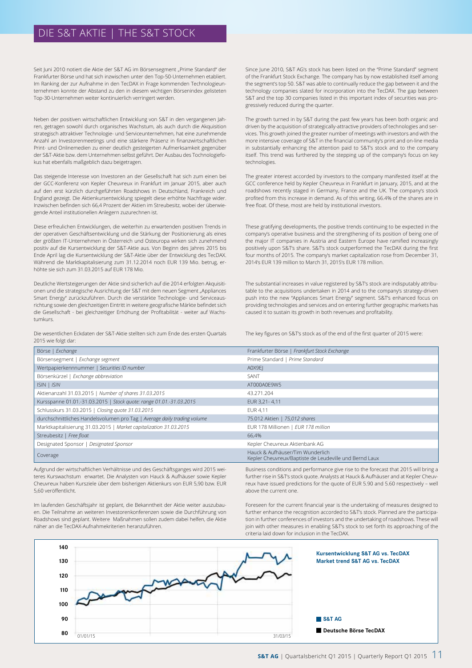# DIE S&T AKTIE | THE S&T STOCK

Seit Juni 2010 notiert die Aktie der S&T AG im Börsensegment "Prime Standard" der Frankfurter Börse und hat sich inzwischen unter den Top-50-Unternehmen etabliert. Im Ranking der zur Aufnahme in den TecDAX in Frage kommenden Technologieunternehmen konnte der Abstand zu den in diesem wichtigen Börsenindex gelisteten Top-30-Unternehmen weiter kontinuierlich verringert werden.

Neben der positiven wirtschaftlichen Entwicklung von S&T in den vergangenen Jahren, getragen sowohl durch organisches Wachstum, als auch durch die Akquisition strategisch attraktiver Technologie- und Serviceunternehmen, hat eine zunehmende Anzahl an Investorenmeetings und eine stärkere Präsenz in finanzwirtschaftlichen Print- und Onlinemedien zu einer deutlich gesteigerten Aufmerksamkeit gegenüber der S&T-Aktie bzw. dem Unternehmen selbst geführt. Der Ausbau des Tochnologiefokus hat ebenfalls maßgeblich dazu beigetragen.

Das steigende Interesse von Investoren an der Gesellschaft hat sich zum einen bei der GCC-Konferenz von Kepler Cheuvreux in Frankfurt im Januar 2015, aber auch auf den erst kürzlich durchgeführten Roadshows in Deutschland, Frankreich und England gezeigt. Die Aktienkursentwicklung spiegelt diese erhöhte Nachfrage wider. Inzwischen befinden sich 66,4 Prozent der Aktien im Streubesitz, wobei der überwiegende Anteil institutionellen Anlegern zuzurechnen ist.

Diese erfreulichen Entwicklungen, die weiterhin zu erwartenden positiven Trends in der operativen Geschäftsentwicklung und die Stärkung der Positionierung als eines der größten IT-Unternehmen in Österreich und Osteuropa wirken sich zunehmend positiv auf die Kursentwicklung der S&T-Aktie aus. Von Beginn des Jahres 2015 bis Ende April lag die Kursentwicklung der S&T-Aktie über der Entwicklung des TecDAX. Während die Marktkapitalisierung zum 31.12.2014 noch EUR 139 Mio. betrug, erhöhte sie sich zum 31.03.2015 auf EUR 178 Mio.

Deutliche Wertsteigerungen der Aktie sind sicherlich auf die 2014 erfolgten Akquisitionen und die strategische Ausrichtung der S&T mit dem neuen Segment "Appliances Smart Energy" zurückzuführen. Durch die verstärkte Technologie- und Serviceausrichtung sowie den gleichzeitigen Eintritt in weitere geografische Märkte befindet sich die Gesellschaft - bei gleichzeitiger Erhöhung der Profitabilität - weiter auf Wachstumkurs.

Die wesentlichen Eckdaten der S&T-Aktie stellten sich zum Ende des ersten Quartals 2015 wie folgt dar:

Since June 2010, S&T AG's stock has been listed on the "Prime Standard" segment of the Frankfurt Stock Exchange. The company has by now established itself among the segment's top 50. S&T was able to continually reduce the gap between it and the technology companies slated for incorporation into the TecDAX. The gap between S&T and the top 30 companies listed in this important index of securities was progressively reduced during the quarter.

The growth turned in by S&T during the past few years has been both organic and driven by the acquisition of strategically-attractive providers of technologies and services. This growth joined the greater number of meetings with investors and with the more intensive coverage of S&T in the financial community's print and on-line media in substantially enhancing the attention paid to S&T's stock and to the company itself. This trend was furthered by the stepping up of the company's focus on key technologies.

The greater interest accorded by investors to the company manifested itself at the GCC conference held by Kepler Cheuvreux in Frankfurt in January, 2015, and at the roadshows recently staged in Germany, France and the UK. The company's stock profited from this increase in demand. As of this writing, 66.4% of the shares are in free float. Of these, most are held by institutional investors.

These gratifying developments, the positive trends continuing to be expected in the company's operative business and the strengthening of its position of being one of the major IT companies in Austria and Eastern Europe have ramified increasingly positively upon S&T's share. S&T's stock outperformed the TecDAX during the first four months of 2015. The company's market capitalization rose from December 31, 2014's EUR 139 million to March 31, 2015's EUR 178 million.

The substantial increases in value registered by S&T's stock are indisputably attributable to the acquisitions undertaken in 2014 and to the company's strategy-driven push into the new "Appliances Smart Energy" segment. S&T's enhanced focus on providing technologies and services and on entering further geographic markets has caused it to sustain its growth in both revenues and profitability.

The key figures on S&T's stock as of the end of the first quarter of 2015 were:

| Börse   Exchange                                                                  | Frankfurter Börse   Frankfurt Stock Exchange                                               |
|-----------------------------------------------------------------------------------|--------------------------------------------------------------------------------------------|
| Börsensegment   Exchange segment                                                  | Prime Standard   Prime Standard                                                            |
| Wertpapierkennnummer   Securities ID number                                       | A0X9EI                                                                                     |
| Börsenkürzel   Exchange abbreviation                                              | SANT                                                                                       |
| $ISIN$   $ISIN$                                                                   | AT000A0E9W5                                                                                |
| Aktienanzahl 31.03.2015   Number of shares 31.03.2015                             | 43.271.204                                                                                 |
| Kursspanne 01.01.-31.03.2015   Stock quote: range 01.01.-31.03.2015               | EUR 3,21 - 4,11                                                                            |
| Schlusskurs 31.03.2015   Closing quote 31.03.2015                                 | EUR 4,11                                                                                   |
| durchschnittliches Handelsvolumen pro Tag   Average daily trading volume          | 75.012 Aktien   75,012 shares                                                              |
| Marktkapitalisierung 31.03.2015   Market capitalization 31.03.2015                | EUR 178 Millionen   EUR 178 million                                                        |
| Streubesitz   Free float                                                          | 66,4%                                                                                      |
| Designated Sponsor   Designated Sponsor                                           | Kepler Cheuvreux Aktienbank AG                                                             |
| Coverage                                                                          | Hauck & Aufhäuser/Tim Wunderlich<br>Kepler Cheuvreux/Baptiste de Leudeville und Bernd Laux |
| Aufgrund der wirtschaftlichen Verhältnisse und des Geschäftsganges wird 2015 wei- | Business conditions and performance give rise to the forecast that 2015 will bring a       |

Aufgrund der wirtschaftlichen Verhältnisse und des Geschäftsganges wird 2015 weiteres Kurswachstum erwartet. Die Analysten von Hauck & Aufhäuser sowie Kepler Cheuvreux haben Kursziele über dem bisherigen Aktienkurs von EUR 5,90 bzw. EUR 5,60 veröffentlicht.

Im laufenden Geschäftsjahr ist geplant, die Bekanntheit der Aktie weiter auszubauen. Die Teilnahme an weiteren Investorenkonferenzen sowie die Durchführung von Roadshows sind geplant. Weitere Maßnahmen sollen zudem dabei helfen, die Aktie näher an die TecDAX-Aufnahmekriterien heranzuführen.

further rise in S&T's stock quote. Analysts at Hauck & Aufhäuser and at Kepler Cheuvreux have issued predictions for the quote of EUR 5.90 and 5.60 respectively – well above the current one.

Foreseen for the current financial year is the undertaking of measures designed to further enhance the recognition accorded to S&T's stock. Planned are the participation in further conferences of investors and the undertaking of roadshows. These will join with other measures in enabling S&T's stock to set forth its approaching of the criteria laid down for inclusion in the TecDAX.